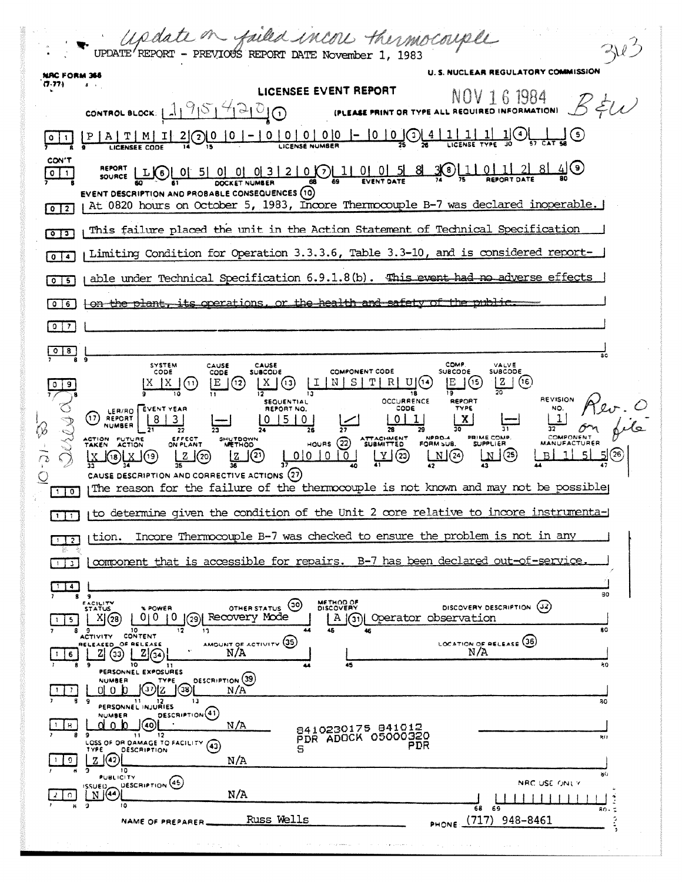|                                 | Update on failed incore thermocouple<br>UPDATE <sup>/</sup> REPORT - PREVIOUS REPORT DATE November 1, 1983                                                                                                                                                                                                                                                                                                                                                                                                                                                                                                                                                                                                                                                                                                            |
|---------------------------------|-----------------------------------------------------------------------------------------------------------------------------------------------------------------------------------------------------------------------------------------------------------------------------------------------------------------------------------------------------------------------------------------------------------------------------------------------------------------------------------------------------------------------------------------------------------------------------------------------------------------------------------------------------------------------------------------------------------------------------------------------------------------------------------------------------------------------|
| NRC FORM 366                    | U. S. NUCLEAR REGULATORY COMMISSION                                                                                                                                                                                                                                                                                                                                                                                                                                                                                                                                                                                                                                                                                                                                                                                   |
| (7.77)                          | LICENSEE EVENT REPORT<br><b>EXECUTE THE AVE ALL REQUIRED INFORMATION</b> $B \neq U$                                                                                                                                                                                                                                                                                                                                                                                                                                                                                                                                                                                                                                                                                                                                   |
|                                 | CONTROL BLOCK: $1959900$                                                                                                                                                                                                                                                                                                                                                                                                                                                                                                                                                                                                                                                                                                                                                                                              |
|                                 |                                                                                                                                                                                                                                                                                                                                                                                                                                                                                                                                                                                                                                                                                                                                                                                                                       |
| CON'T<br>$0 \mid 1$             | SOURCE LUC 0 0 5 0 0 0 3 2 0 0 1 0 0 5 8 3 0 1 0 1 2 8 4 9<br>EVENT DESCRIPTION AND PROBABLE CONSEQUENCES (10)<br>At 0820 hours on October 5, 1983, Incore Thermocouple B-7 was declared inoperable.                                                                                                                                                                                                                                                                                                                                                                                                                                                                                                                                                                                                                  |
| 0 <sup>2</sup>                  | This failure placed the unit in the Action Statement of Technical Specification                                                                                                                                                                                                                                                                                                                                                                                                                                                                                                                                                                                                                                                                                                                                       |
| $\sqrt{13}$                     |                                                                                                                                                                                                                                                                                                                                                                                                                                                                                                                                                                                                                                                                                                                                                                                                                       |
| $^{\circ}$<br>-4                | Limiting Condition for Operation 3.3.3.6, Table 3.3-10, and is considered report-                                                                                                                                                                                                                                                                                                                                                                                                                                                                                                                                                                                                                                                                                                                                     |
| $\circ$ 1<br>-5                 | able under Technical Specification 6.9.1.8(b). This event had no adverse effects                                                                                                                                                                                                                                                                                                                                                                                                                                                                                                                                                                                                                                                                                                                                      |
| $\mathbf{0}$<br>6               | on the plant, its operations, or the health and safety of the public                                                                                                                                                                                                                                                                                                                                                                                                                                                                                                                                                                                                                                                                                                                                                  |
| $0 \mid 7$                      |                                                                                                                                                                                                                                                                                                                                                                                                                                                                                                                                                                                                                                                                                                                                                                                                                       |
| $\circ$<br>8                    |                                                                                                                                                                                                                                                                                                                                                                                                                                                                                                                                                                                                                                                                                                                                                                                                                       |
| $1$ 0                           | <b>COMP</b><br>SYSTEM<br>CAUSE<br>CAUSE<br>VALVE<br><b>COMPONENT CODE</b><br><b>SUBCODE</b><br><b>SUBCODE</b><br><b>SUBCODE</b><br>CODE<br>CODE<br>IE.<br>(15)<br>$ Z $ $(16)$<br>(13)<br>INSITIRI<br>(11)<br>E<br>(12)<br>REVISION<br>OCCURRENCE<br><b>REPORT</b><br><b>SEQUENTIAL</b><br>CODE<br>TYPE<br>REPORT NO.<br>LER/RO EVENT YEAR<br>17<br>REPORT<br>NUMBER<br>NPPD-4 P<br>FORM SUB<br>PRIME COMP.<br>HOURS (22) SUBMITTED<br>ACTION FUTURE<br>EFFECT<br>ON PLANT<br>SHUTDOWN<br>SUPPLIER<br><b>MANUFACTURER</b><br><b>ACTION</b><br><b>METHOD</b><br>TAKEN<br>$\Box$ (25)<br>-51<br>$\mathcal{L}(\mathfrak{D})$<br>M(2)<br><u>LZ (20)</u><br>(18) <u>  X  </u> (19)<br>CAUSE DESCRIPTION AND CORRECTIVE ACTIONS (27)<br>The reason for the failure of the thermocouple is not known and may not be possible |
|                                 | (17) Ito determine given the condition of the Unit 2 core relative to incore instrumenta-                                                                                                                                                                                                                                                                                                                                                                                                                                                                                                                                                                                                                                                                                                                             |
|                                 |                                                                                                                                                                                                                                                                                                                                                                                                                                                                                                                                                                                                                                                                                                                                                                                                                       |
| 岁<br>p.                         | Incore Thermocouple B-7 was checked to ensure the problem is not in any<br>tion.                                                                                                                                                                                                                                                                                                                                                                                                                                                                                                                                                                                                                                                                                                                                      |
| 3                               | component that is accessible for repairs. B-7 has been declared out-of-service                                                                                                                                                                                                                                                                                                                                                                                                                                                                                                                                                                                                                                                                                                                                        |
| $\overline{4}$<br>5.<br>8<br>6. | 30<br>89<br>METHOD OF<br>DISCOVERY<br>EACILITY<br>STATUS<br>(၁၀)<br>(32)<br>DISCOVERY DESCRIPTION<br>OTHER STATUS<br><b>% POWER</b><br>(29) Recovery Mode<br>010.<br>0<br>X(28)<br>A (31) Operator observation<br>80<br>44<br>9<br>10<br>45<br>46<br>12<br>13.<br>CONTENT<br><b>ACTIVITY</b><br>LOCATION OF RELEASE (36)<br>AMOUNT OF ACTIVITY (35)<br>RELEASED OF RELEASE<br>N/A<br>N/A<br>33<br>10<br>80<br>45<br>11<br>44<br>PERSONNEL EXPOSURES<br>DESCRIPTION (39)<br><b>NUMBER</b><br>TYPE                                                                                                                                                                                                                                                                                                                      |
| $\mathbf{r}$                    | 37)<br>N/A<br>n<br>(38)<br>0<br>13<br>80<br>9<br>11<br>PERSONNEL INJURIES<br>DESCRIPTION <sup>(41)</sup>                                                                                                                                                                                                                                                                                                                                                                                                                                                                                                                                                                                                                                                                                                              |
| 8.<br>8.<br>9                   | <b>NUMBER</b><br>กก<br>N/A<br>30)<br>8410230175 841012<br>- 9<br>$\mathbf{H}$<br>12<br>PDR ADOCK 05000320<br>81<br>LOSS OF OR DAMAGE TO FACILITY.<br>(43)<br>PDR<br>s<br>DESCRIPTION<br>17PE.<br>142<br>N/A<br>z.<br>10                                                                                                                                                                                                                                                                                                                                                                                                                                                                                                                                                                                               |
| O.                              | a0<br><b>PUBLICITY</b><br>SSUED DESCRIPTION (45<br>NAC USE ONLY<br>N(44)<br>N/A                                                                                                                                                                                                                                                                                                                                                                                                                                                                                                                                                                                                                                                                                                                                       |
|                                 | $\overline{2}$<br>10<br>68<br>69<br>80.5<br>Russ Wells<br>(717)<br>٥<br>948-8461<br>NAME OF PREPARER.<br>PHONE.                                                                                                                                                                                                                                                                                                                                                                                                                                                                                                                                                                                                                                                                                                       |
|                                 | ٠                                                                                                                                                                                                                                                                                                                                                                                                                                                                                                                                                                                                                                                                                                                                                                                                                     |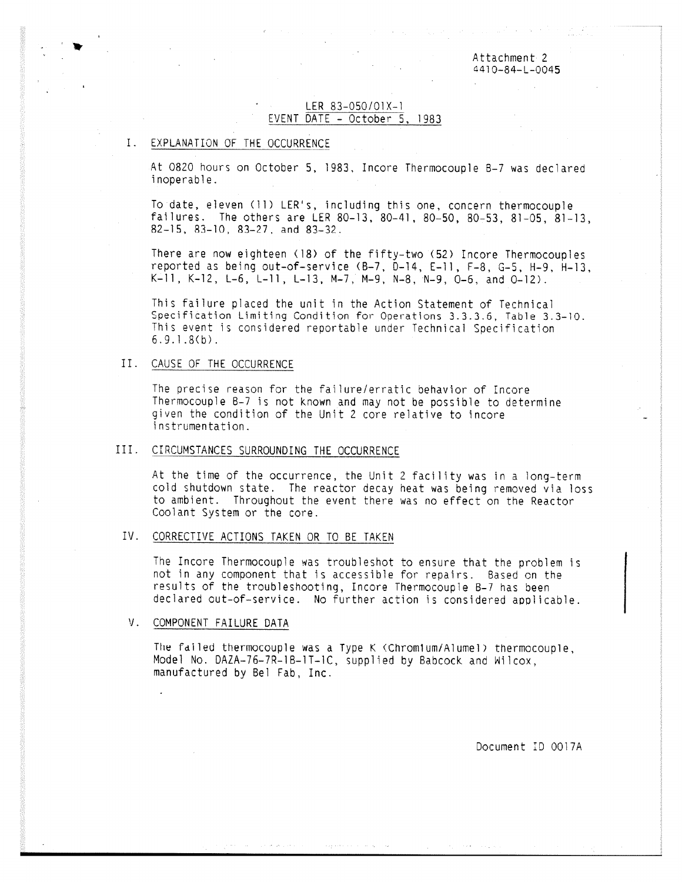Attachment 2 4410-84-L-0045

# LER 83-050/01X-1 EVENT DATE - October 5, 1983

# I. EXPLANATION OF THE OCCURRENCE

At 0820 hours on October 5, 1983, Incore Thermocouple 6-7 was declared inoperable.

To date, eleven (11) LER's, including this one, concern thermocouple failures. The others are LER 80-13, 80-41, 80-50, 80-53, 81-05, 81-13, 82-15, 81-10, 83-27, and 83-32.

There are now eighteen (18) of the fifty-two (52) Incore Thermocouples reported as being out-of-service (B-7, D-14, E-11, F-8, G-5, H-9, H-13,  $K-11$ ,  $K-12$ ,  $L-6$ ,  $L-11$ ,  $L-13$ ,  $M-7$ ,  $M-9$ ,  $N-8$ ,  $N-9$ ,  $0-6$ , and  $0-12$ ).

This failure placed the unit in the Action Statement of Technical Specification Limiting Condition for Operations 3.3.3.6, Table 3.3-10. This event is considered reportable under Technical Specification 6.9.1.8(b).

# II. CAUSE OF THE OCCURRENCE

The precise reason for the failure/erratic behavior of Incore Thermocouple 8-7 is not known and may not be possible to determine given the condition of the Unit 2 core relative to incore instrumentation.

### III. CIRCUMSTANCES SURROUNDING THE OCCURRENCE

At the time of the occurrence, the Unit 2 facility was in a long-term cold shutdown state. The reactor decay heat was being removed via loss to ambient. Throughout the event there was no effect on the Reactor Coolant System or the core.

#### IV. CORRECTIVE ACTIONS TAKEN OR TO BE TAKEN

The Incore Thermocouple was troubleshot to ensure that the problem is not in any component that is accessible for repairs. Based on the results of the troubleshooting, Incore Thermocouple 8-7 has been declared out-of-service. No further action is considered applicable.

# V. COMPONENT FAILURE DATA

The failed thermocouple was a Type K (Chrom1um/Alumel) thermocouple, Model No. DAZA-76-7R-16-1T-1C, supplied by Babcock and Wilcox, manufactured by Bel Fab, Inc.

Document ID 0017A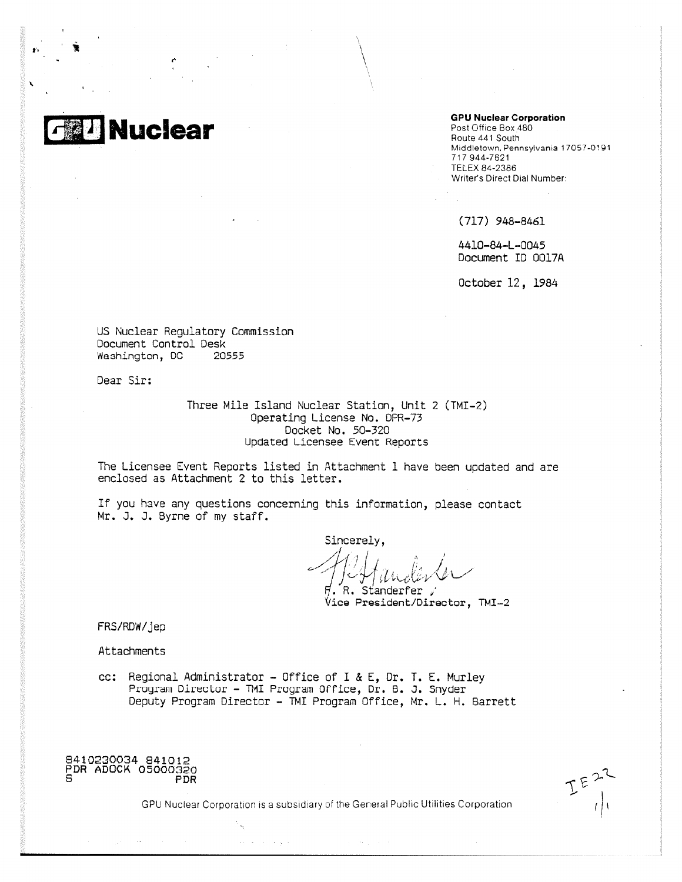

#### **GPU Nuclear Corporation**

Post Office Box 480 Route 441 South Middletown, Pennsylvania 17057-0191 717 944-7621 TELEX 84-2386 Writer's Direct Dial Number:

(717) 948-8461

4410-84-L-0045 Document ID 0017A

October 12, 1984

US Nuclear Regulatory Commission Document Control Desk Washington, DC 20555

Dear Sir:

Three Mile Island Nuclear Station, Unit 2 (TMI-2) Operating License No, DPR-73 Docket No. 50-320 Updated Licensee Event Reports

The Licensee Event Reports listed in Attachment 1 have been updated and are enclosed as Attachment 2 to this letter.

If you have any questions concerning this information, please contact Mr. J. J. Byrne of my staff.

Sincerely, . Standerfer

Vice President/Director, TMI-2

FRS/RDW/jep

Attachments

cc: Regional Administrator - Office of I & E, Dr, T. E. Murley Program Director - TMI Program Office, Dr. B. J. Snyder Deputy Program Director - TMI Program Office, Mr. L. H. Barrett

8410230034 841012 PDR ADOCK 05000320 PDR

GPU Nuclear Corporation is a subsidiary of the General Public Utilities Corporation

المتواصل والمحامد